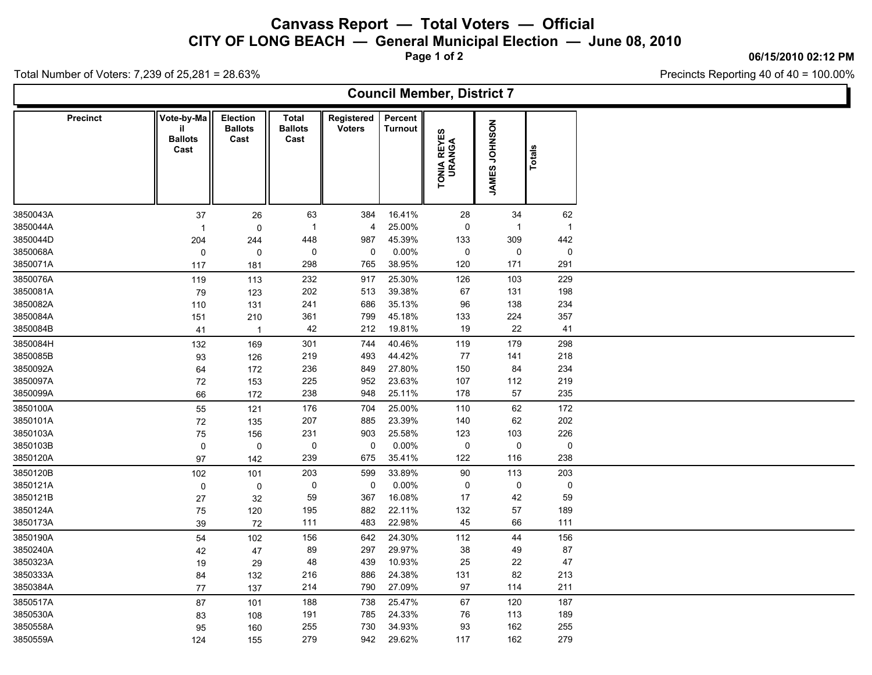## **Canvass Report — Total Voters — Official**

**CITY OF LONG BEACH — General Municipal Election — June 08, 2010**

**Page 1 of 2**

**06/15/2010 02:12 PM**

Precincts Reporting 40 of 40 = 100.00%

Total Number of Voters: 7,239 of 25,281 = 28.63%

| <b>Council Member, District 7</b> |                 |                                            |                                           |                                 |                             |                           |                       |               |                |  |
|-----------------------------------|-----------------|--------------------------------------------|-------------------------------------------|---------------------------------|-----------------------------|---------------------------|-----------------------|---------------|----------------|--|
|                                   | <b>Precinct</b> | Vote-by-Ma<br>il<br><b>Ballots</b><br>Cast | <b>Election</b><br><b>Ballots</b><br>Cast | Total<br><b>Ballots</b><br>Cast | Registered<br><b>Voters</b> | Percent<br><b>Turnout</b> | TONIA REYES<br>URANGA | JAMES JOHNSON | Totals         |  |
| 3850043A                          |                 | 37                                         | 26                                        | 63                              | 384                         | 16.41%                    | 28                    | 34            | 62             |  |
| 3850044A                          |                 | $\mathbf{1}$                               | 0                                         | $\overline{1}$                  | 4                           | 25.00%                    | 0                     | $\mathbf{1}$  | $\overline{1}$ |  |
| 3850044D                          |                 | 204                                        | 244                                       | 448                             | 987                         | 45.39%                    | 133                   | 309           | 442            |  |
| 3850068A                          |                 | $\mathbf 0$                                | 0                                         | 0                               | 0                           | 0.00%                     | 0                     | 0             | 0              |  |
| 3850071A                          |                 | 117                                        | 181                                       | 298                             | 765                         | 38.95%                    | 120                   | 171           | 291            |  |
| 3850076A                          |                 | 119                                        | 113                                       | 232                             | 917                         | 25.30%                    | 126                   | 103           | 229            |  |
| 3850081A                          |                 | 79                                         | 123                                       | 202                             | 513                         | 39.38%                    | 67                    | 131           | 198            |  |
| 3850082A                          |                 | 110                                        | 131                                       | 241                             | 686                         | 35.13%                    | 96                    | 138           | 234            |  |
| 3850084A                          |                 | 151                                        | 210                                       | 361                             | 799                         | 45.18%                    | 133                   | 224           | 357            |  |
| 3850084B                          |                 | 41                                         | $\overline{1}$                            | 42                              | 212                         | 19.81%                    | 19                    | 22            | 41             |  |
| 3850084H                          |                 | 132                                        | 169                                       | 301                             | 744                         | 40.46%                    | 119                   | 179           | 298            |  |
| 3850085B                          |                 | 93                                         | 126                                       | 219                             | 493                         | 44.42%                    | 77                    | 141           | 218            |  |
| 3850092A                          |                 | 64                                         | 172                                       | 236                             | 849                         | 27.80%                    | 150                   | 84            | 234            |  |
| 3850097A                          |                 | $72\,$                                     | 153                                       | 225                             | 952                         | 23.63%                    | 107                   | 112           | 219            |  |
| 3850099A                          |                 | 66                                         | 172                                       | 238                             | 948                         | 25.11%                    | 178                   | 57            | 235            |  |
| 3850100A                          |                 | 55                                         | 121                                       | 176                             | 704                         | 25.00%                    | 110                   | 62            | 172            |  |
| 3850101A                          |                 | 72                                         | 135                                       | 207                             | 885                         | 23.39%                    | 140                   | 62            | 202            |  |
| 3850103A                          |                 | 75                                         | 156                                       | 231                             | 903                         | 25.58%                    | 123                   | 103           | 226            |  |
| 3850103B                          |                 | 0                                          | 0                                         | 0                               | $\pmb{0}$                   | 0.00%                     | 0                     | $\mathsf{O}$  | $\pmb{0}$      |  |
| 3850120A                          |                 | 97                                         | 142                                       | 239                             | 675                         | 35.41%                    | 122                   | 116           | 238            |  |
| 3850120B                          |                 | 102                                        | 101                                       | 203                             | 599                         | 33.89%                    | 90                    | 113           | 203            |  |
| 3850121A                          |                 | $\pmb{0}$                                  | 0                                         | 0                               | $\mathbf 0$                 | 0.00%                     | 0                     | 0             | 0              |  |
| 3850121B                          |                 | 27                                         | 32                                        | 59                              | 367                         | 16.08%                    | 17                    | 42            | 59             |  |
| 3850124A                          |                 | 75                                         | 120                                       | 195                             | 882                         | 22.11%                    | 132                   | 57            | 189            |  |
| 3850173A                          |                 | 39                                         | 72                                        | 111                             | 483                         | 22.98%                    | 45                    | 66            | 111            |  |
| 3850190A                          |                 | 54                                         | 102                                       | 156                             | 642                         | 24.30%                    | 112                   | 44            | 156            |  |
| 3850240A                          |                 | 42                                         | 47                                        | 89                              | 297                         | 29.97%                    | 38                    | 49            | 87             |  |
| 3850323A                          |                 | 19                                         | 29                                        | 48                              | 439                         | 10.93%                    | 25                    | 22            | 47             |  |
| 3850333A                          |                 | 84                                         | 132                                       | 216                             | 886                         | 24.38%                    | 131                   | 82            | 213            |  |
| 3850384A                          |                 | 77                                         | 137                                       | 214                             | 790                         | 27.09%                    | 97                    | 114           | 211            |  |
| 3850517A                          |                 | 87                                         | 101                                       | 188                             | 738                         | 25.47%                    | 67                    | 120           | 187            |  |
| 3850530A                          |                 | 83                                         | 108                                       | 191                             | 785                         | 24.33%                    | 76                    | 113           | 189            |  |
| 3850558A                          |                 | 95                                         | 160                                       | 255                             | 730                         | 34.93%                    | 93                    | 162           | 255            |  |
| 3850559A                          |                 | 124                                        | 155                                       | 279                             | 942                         | 29.62%                    | 117                   | 162           | 279            |  |